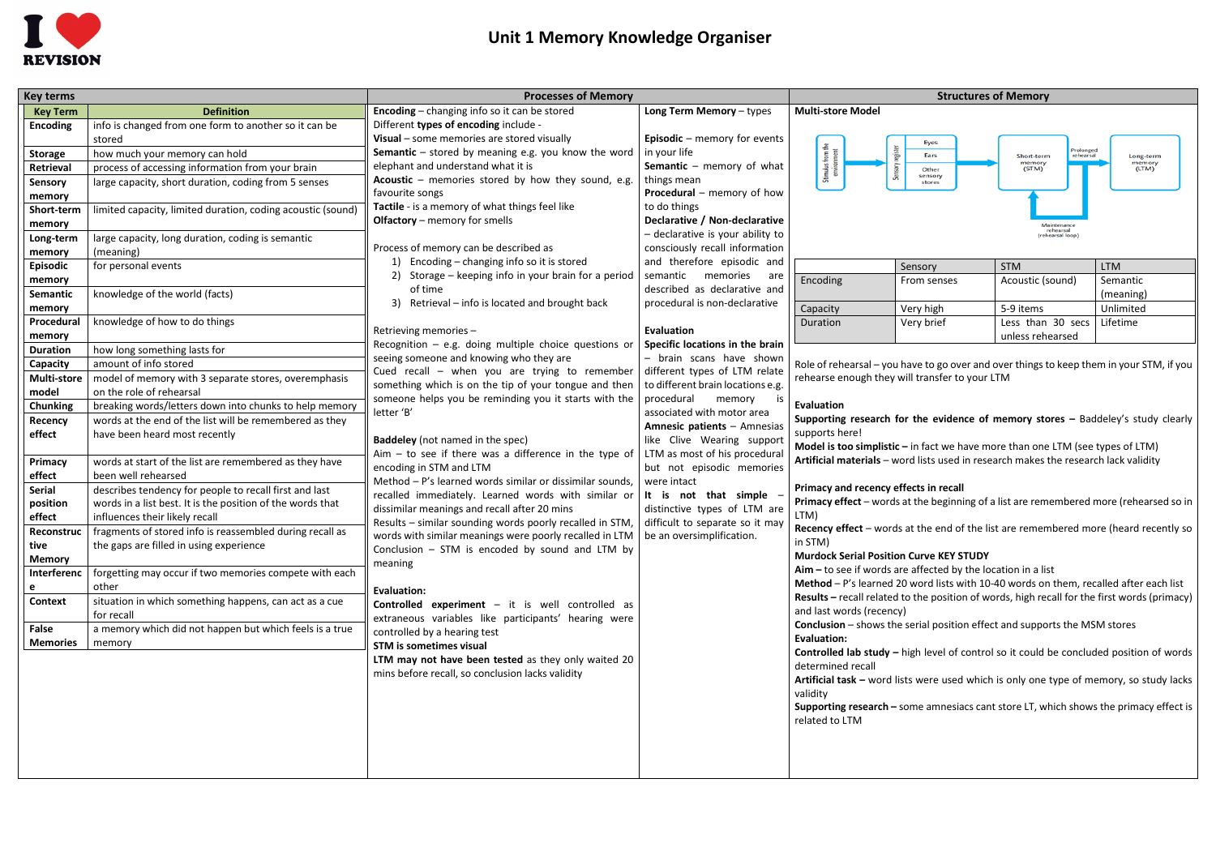

# **Unit 1 Memory Knowledge Organiser**

| <b>Key terms</b>   |                                                             | <b>Processes of Memory</b>                                                          | <b>Structures of Memory</b>                                |                                                                                                                                            |                                                                                       |                                      |                                                                                              |  |
|--------------------|-------------------------------------------------------------|-------------------------------------------------------------------------------------|------------------------------------------------------------|--------------------------------------------------------------------------------------------------------------------------------------------|---------------------------------------------------------------------------------------|--------------------------------------|----------------------------------------------------------------------------------------------|--|
| <b>Key Term</b>    | <b>Definition</b>                                           | <b>Encoding</b> – changing info so it can be stored                                 | Long Term Memory - types                                   | <b>Multi-store Model</b>                                                                                                                   |                                                                                       |                                      |                                                                                              |  |
| <b>Encoding</b>    | info is changed from one form to another so it can be       | Different types of encoding include -                                               |                                                            |                                                                                                                                            |                                                                                       |                                      |                                                                                              |  |
|                    | stored                                                      | Visual - some memories are stored visually                                          | Episodic - memory for events                               |                                                                                                                                            | Eyes                                                                                  |                                      |                                                                                              |  |
| <b>Storage</b>     | how much your memory can hold                               | <b>Semantic</b> $-$ stored by meaning e.g. you know the word                        | in your life                                               |                                                                                                                                            | Ears                                                                                  | Prolonged<br>Short-term<br>rehearsal | Long-term                                                                                    |  |
| Retrieval          | process of accessing information from your brain            | elephant and understand what it is                                                  | <b>Semantic</b> – memory of what                           | Stimulus f                                                                                                                                 | Other<br>sensory                                                                      | memory<br>(STM)                      | memory<br>(LTM)                                                                              |  |
| Sensory            | large capacity, short duration, coding from 5 senses        | Acoustic - memories stored by how they sound, e.g.                                  | things mean                                                |                                                                                                                                            | stores                                                                                |                                      |                                                                                              |  |
| memory             |                                                             | favourite songs                                                                     | Procedural - memory of how                                 |                                                                                                                                            |                                                                                       |                                      |                                                                                              |  |
| Short-term         | limited capacity, limited duration, coding acoustic (sound) | Tactile - is a memory of what things feel like                                      | to do things                                               |                                                                                                                                            |                                                                                       |                                      |                                                                                              |  |
| memory             |                                                             | <b>Olfactory</b> – memory for smells                                                | Declarative / Non-declarative                              |                                                                                                                                            |                                                                                       | rehearsal                            |                                                                                              |  |
| Long-term          | large capacity, long duration, coding is semantic           |                                                                                     | - declarative is your ability to                           |                                                                                                                                            |                                                                                       | ehearsal loop                        |                                                                                              |  |
| memory             | (meaning)                                                   | Process of memory can be described as                                               | consciously recall information                             |                                                                                                                                            |                                                                                       |                                      |                                                                                              |  |
| <b>Episodic</b>    | for personal events                                         | Encoding - changing info so it is stored                                            | and therefore episodic and                                 |                                                                                                                                            | Sensory                                                                               | <b>STM</b>                           | <b>LTM</b>                                                                                   |  |
| memory             |                                                             | Storage - keeping info in your brain for a period                                   | semantic<br>memories are                                   | Encoding                                                                                                                                   | From senses                                                                           | Acoustic (sound)                     | Semantic                                                                                     |  |
| Semantic           | knowledge of the world (facts)                              | of time                                                                             | described as declarative and                               |                                                                                                                                            |                                                                                       |                                      | (meaning)                                                                                    |  |
| memory             |                                                             | Retrieval – info is located and brought back<br>3)                                  | procedural is non-declarative                              | Capacity                                                                                                                                   | Very high                                                                             | 5-9 items                            | Unlimited                                                                                    |  |
| Procedural         | knowledge of how to do things                               |                                                                                     |                                                            | Duration                                                                                                                                   | Very brief                                                                            | Less than 30 secs                    | Lifetime                                                                                     |  |
| memory             |                                                             | Retrieving memories -                                                               | Evaluation                                                 |                                                                                                                                            |                                                                                       | unless rehearsed                     |                                                                                              |  |
| <b>Duration</b>    | how long something lasts for                                | Recognition $-$ e.g. doing multiple choice questions or                             | Specific locations in the brain                            |                                                                                                                                            |                                                                                       |                                      |                                                                                              |  |
| Capacity           | amount of info stored                                       | seeing someone and knowing who they are                                             | - brain scans have shown                                   | Role of rehearsal – you have to go over and over things to keep them in your STM, if you<br>rehearse enough they will transfer to your LTM |                                                                                       |                                      |                                                                                              |  |
| <b>Multi-store</b> | model of memory with 3 separate stores, overemphasis        | Cued recall - when you are trying to remember                                       | different types of LTM relate                              |                                                                                                                                            |                                                                                       |                                      |                                                                                              |  |
| model              | on the role of rehearsal                                    | something which is on the tip of your tongue and then                               | to different brain locations e.g.                          |                                                                                                                                            |                                                                                       |                                      |                                                                                              |  |
| <b>Chunking</b>    | breaking words/letters down into chunks to help memory      | someone helps you be reminding you it starts with the                               | procedural<br>memory                                       | <b>Evaluation</b>                                                                                                                          |                                                                                       |                                      |                                                                                              |  |
| Recency            | words at the end of the list will be remembered as they     | letter 'B'                                                                          | associated with motor area                                 | Supporting research for the evidence of memory stores - Baddeley's study clearly                                                           |                                                                                       |                                      |                                                                                              |  |
| effect             | have been heard most recently                               |                                                                                     | Amnesic patients - Amnesias                                | supports here!                                                                                                                             |                                                                                       |                                      |                                                                                              |  |
|                    |                                                             | <b>Baddeley</b> (not named in the spec)                                             | like Clive Wearing suppor<br>LTM as most of his procedural |                                                                                                                                            | Model is too simplistic - in fact we have more than one LTM (see types of LTM)        |                                      |                                                                                              |  |
| Primacy            | words at start of the list are remembered as they have      | $A$ im – to see if there was a difference in the type of<br>encoding in STM and LTM | but not episodic memories                                  |                                                                                                                                            | Artificial materials - word lists used in research makes the research lack validity   |                                      |                                                                                              |  |
| effect             | been well rehearsed                                         | Method - P's learned words similar or dissimilar sounds,                            | were intact                                                |                                                                                                                                            |                                                                                       |                                      |                                                                                              |  |
| Serial             | describes tendency for people to recall first and last      | recalled immediately. Learned words with similar or                                 | It is not that simple                                      | Primacy and recency effects in recall                                                                                                      |                                                                                       |                                      |                                                                                              |  |
| position           | words in a list best. It is the position of the words that  | dissimilar meanings and recall after 20 mins                                        | distinctive types of LTM are                               |                                                                                                                                            |                                                                                       |                                      | Primacy effect - words at the beginning of a list are remembered more (rehearsed so in       |  |
| effect             | influences their likely recall                              | Results - similar sounding words poorly recalled in STM,                            | difficult to separate so it may                            | LTM)                                                                                                                                       |                                                                                       |                                      |                                                                                              |  |
| Reconstruc         | fragments of stored info is reassembled during recall as    | words with similar meanings were poorly recalled in LTM                             | be an oversimplification.                                  |                                                                                                                                            |                                                                                       |                                      | Recency effect - words at the end of the list are remembered more (heard recently so         |  |
| tive               | the gaps are filled in using experience                     | Conclusion $-$ STM is encoded by sound and LTM by                                   |                                                            | in STM)                                                                                                                                    |                                                                                       |                                      |                                                                                              |  |
| <b>Memory</b>      |                                                             | meaning                                                                             |                                                            | <b>Murdock Serial Position Curve KEY STUDY</b>                                                                                             |                                                                                       |                                      |                                                                                              |  |
| Interferenc        | forgetting may occur if two memories compete with each      |                                                                                     |                                                            | $A$ im – to see if words are affected by the location in a list                                                                            |                                                                                       |                                      |                                                                                              |  |
| e                  | other                                                       | <b>Evaluation:</b>                                                                  |                                                            |                                                                                                                                            | Method - P's learned 20 word lists with 10-40 words on them, recalled after each list |                                      |                                                                                              |  |
| <b>Context</b>     | situation in which something happens, can act as a cue      | <b>Controlled experiment</b> – it is well controlled as                             |                                                            |                                                                                                                                            |                                                                                       |                                      | Results - recall related to the position of words, high recall for the first words (primacy) |  |
|                    | for recall                                                  | extraneous variables like participants' hearing were                                |                                                            | and last words (recency)                                                                                                                   |                                                                                       |                                      |                                                                                              |  |
| False              | a memory which did not happen but which feels is a true     | controlled by a hearing test                                                        |                                                            |                                                                                                                                            | <b>Conclusion</b> – shows the serial position effect and supports the MSM stores      |                                      |                                                                                              |  |
| <b>Memories</b>    | memory                                                      | <b>STM is sometimes visual</b>                                                      |                                                            | <b>Evaluation:</b>                                                                                                                         |                                                                                       |                                      |                                                                                              |  |
|                    |                                                             | LTM may not have been tested as they only waited 20                                 |                                                            |                                                                                                                                            |                                                                                       |                                      | Controlled lab study - high level of control so it could be concluded position of words      |  |
|                    |                                                             | mins before recall, so conclusion lacks validity                                    |                                                            | determined recall                                                                                                                          |                                                                                       |                                      |                                                                                              |  |
|                    |                                                             |                                                                                     |                                                            |                                                                                                                                            |                                                                                       |                                      | Artificial task - word lists were used which is only one type of memory, so study lacks      |  |
|                    |                                                             |                                                                                     |                                                            | validity                                                                                                                                   |                                                                                       |                                      |                                                                                              |  |
|                    |                                                             |                                                                                     |                                                            |                                                                                                                                            |                                                                                       |                                      | Supporting research - some amnesiacs cant store LT, which shows the primacy effect is        |  |
|                    |                                                             |                                                                                     |                                                            | related to LTM                                                                                                                             |                                                                                       |                                      |                                                                                              |  |
|                    |                                                             |                                                                                     |                                                            |                                                                                                                                            |                                                                                       |                                      |                                                                                              |  |
|                    |                                                             |                                                                                     |                                                            |                                                                                                                                            |                                                                                       |                                      |                                                                                              |  |
|                    |                                                             |                                                                                     |                                                            |                                                                                                                                            |                                                                                       |                                      |                                                                                              |  |